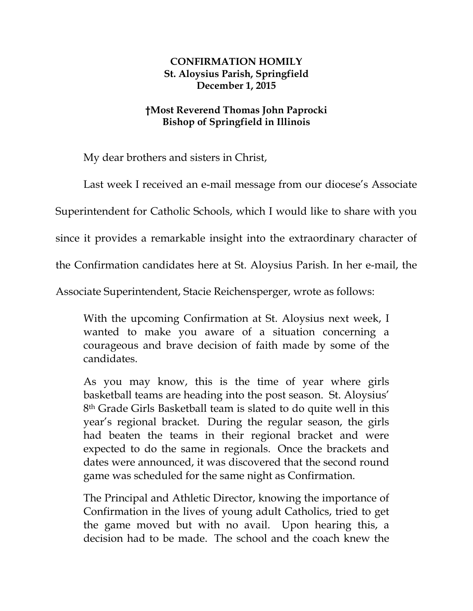## **CONFIRMATION HOMILY St. Aloysius Parish, Springfield December 1, 2015**

## **†Most Reverend Thomas John Paprocki Bishop of Springfield in Illinois**

My dear brothers and sisters in Christ,

Last week I received an e-mail message from our diocese's Associate

Superintendent for Catholic Schools, which I would like to share with you

since it provides a remarkable insight into the extraordinary character of

the Confirmation candidates here at St. Aloysius Parish. In her e-mail, the

Associate Superintendent, Stacie Reichensperger, wrote as follows:

With the upcoming Confirmation at St. Aloysius next week, I wanted to make you aware of a situation concerning a courageous and brave decision of faith made by some of the candidates.

As you may know, this is the time of year where girls basketball teams are heading into the post season. St. Aloysius' 8th Grade Girls Basketball team is slated to do quite well in this year's regional bracket. During the regular season, the girls had beaten the teams in their regional bracket and were expected to do the same in regionals. Once the brackets and dates were announced, it was discovered that the second round game was scheduled for the same night as Confirmation.

The Principal and Athletic Director, knowing the importance of Confirmation in the lives of young adult Catholics, tried to get the game moved but with no avail. Upon hearing this, a decision had to be made. The school and the coach knew the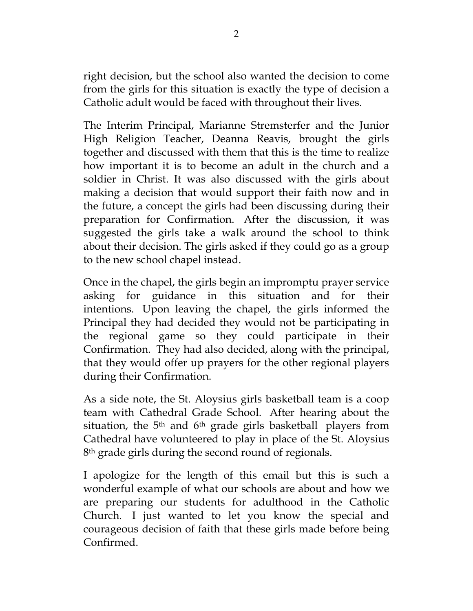right decision, but the school also wanted the decision to come from the girls for this situation is exactly the type of decision a Catholic adult would be faced with throughout their lives.

The Interim Principal, Marianne Stremsterfer and the Junior High Religion Teacher, Deanna Reavis, brought the girls together and discussed with them that this is the time to realize how important it is to become an adult in the church and a soldier in Christ. It was also discussed with the girls about making a decision that would support their faith now and in the future, a concept the girls had been discussing during their preparation for Confirmation. After the discussion, it was suggested the girls take a walk around the school to think about their decision. The girls asked if they could go as a group to the new school chapel instead.

Once in the chapel, the girls begin an impromptu prayer service asking for guidance in this situation and for their intentions. Upon leaving the chapel, the girls informed the Principal they had decided they would not be participating in the regional game so they could participate in their Confirmation. They had also decided, along with the principal, that they would offer up prayers for the other regional players during their Confirmation.

As a side note, the St. Aloysius girls basketball team is a coop team with Cathedral Grade School. After hearing about the situation, the  $5<sup>th</sup>$  and  $6<sup>th</sup>$  grade girls basketball players from Cathedral have volunteered to play in place of the St. Aloysius 8<sup>th</sup> grade girls during the second round of regionals.

I apologize for the length of this email but this is such a wonderful example of what our schools are about and how we are preparing our students for adulthood in the Catholic Church. I just wanted to let you know the special and courageous decision of faith that these girls made before being Confirmed.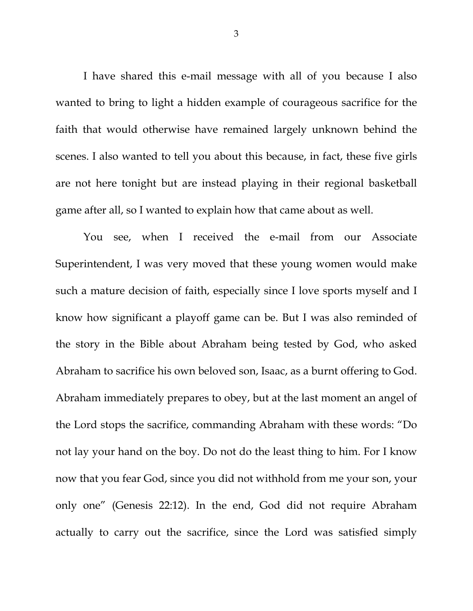I have shared this e-mail message with all of you because I also wanted to bring to light a hidden example of courageous sacrifice for the faith that would otherwise have remained largely unknown behind the scenes. I also wanted to tell you about this because, in fact, these five girls are not here tonight but are instead playing in their regional basketball game after all, so I wanted to explain how that came about as well.

 You see, when I received the e-mail from our Associate Superintendent, I was very moved that these young women would make such a mature decision of faith, especially since I love sports myself and I know how significant a playoff game can be. But I was also reminded of the story in the Bible about Abraham being tested by God, who asked Abraham to sacrifice his own beloved son, Isaac, as a burnt offering to God. Abraham immediately prepares to obey, but at the last moment an angel of the Lord stops the sacrifice, commanding Abraham with these words: "Do not lay your hand on the boy. Do not do the least thing to him. For I know now that you fear God, since you did not withhold from me your son, your only one" (Genesis 22:12). In the end, God did not require Abraham actually to carry out the sacrifice, since the Lord was satisfied simply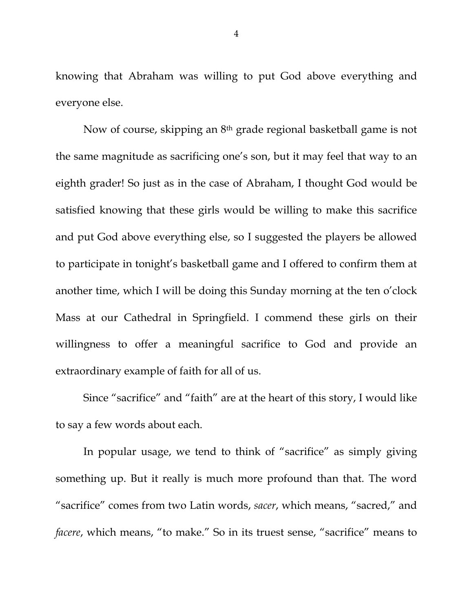knowing that Abraham was willing to put God above everything and everyone else.

 Now of course, skipping an 8th grade regional basketball game is not the same magnitude as sacrificing one's son, but it may feel that way to an eighth grader! So just as in the case of Abraham, I thought God would be satisfied knowing that these girls would be willing to make this sacrifice and put God above everything else, so I suggested the players be allowed to participate in tonight's basketball game and I offered to confirm them at another time, which I will be doing this Sunday morning at the ten o'clock Mass at our Cathedral in Springfield. I commend these girls on their willingness to offer a meaningful sacrifice to God and provide an extraordinary example of faith for all of us.

 Since "sacrifice" and "faith" are at the heart of this story, I would like to say a few words about each.

In popular usage, we tend to think of "sacrifice" as simply giving something up. But it really is much more profound than that. The word "sacrifice" comes from two Latin words, *sacer*, which means, "sacred," and *facere*, which means, "to make." So in its truest sense, "sacrifice" means to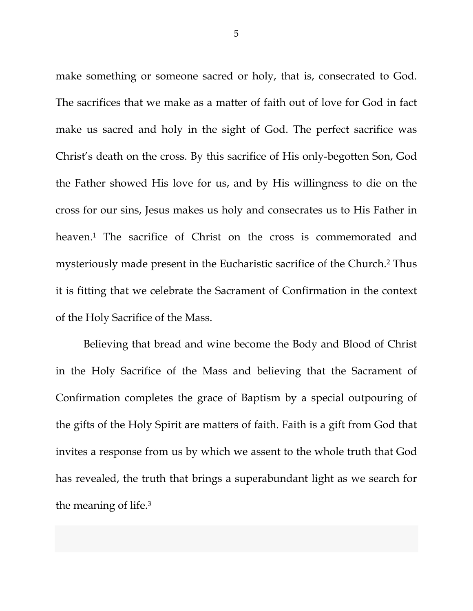make something or someone sacred or holy, that is, consecrated to God. The sacrifices that we make as a matter of faith out of love for God in fact make us sacred and holy in the sight of God. The perfect sacrifice was Christ's death on the cross. By this sacrifice of His only-begotten Son, God the Father showed His love for us, and by His willingness to die on the cross for our sins, Jesus makes us holy and consecrates us to His Father in heaven.<sup>1</sup> The sacrifice of Christ on the cross is commemorated and mysteriously made present in the Eucharistic sacrifice of the Church.2 Thus it is fitting that we celebrate the Sacrament of Confirmation in the context of the Holy Sacrifice of the Mass.

Believing that bread and wine become the Body and Blood of Christ in the Holy Sacrifice of the Mass and believing that the Sacrament of Confirmation completes the grace of Baptism by a special outpouring of the gifts of the Holy Spirit are matters of faith. Faith is a gift from God that invites a response from us by which we assent to the whole truth that God has revealed, the truth that brings a superabundant light as we search for the meaning of life.3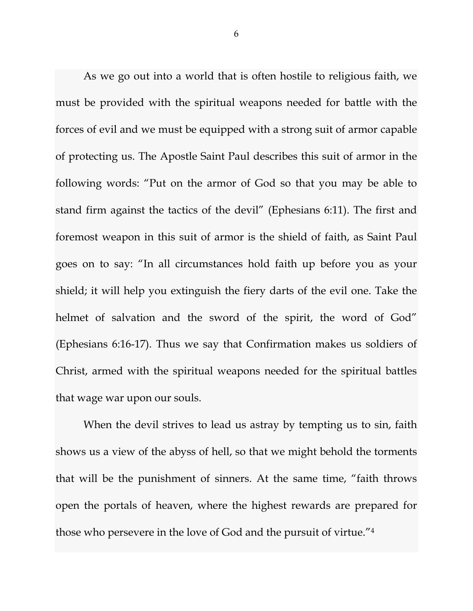As we go out into a world that is often hostile to religious faith, we must be provided with the spiritual weapons needed for battle with the forces of evil and we must be equipped with a strong suit of armor capable of protecting us. The Apostle Saint Paul describes this suit of armor in the following words: "Put on the armor of God so that you may be able to stand firm against the tactics of the devil" (Ephesians 6:11). The first and foremost weapon in this suit of armor is the shield of faith, as Saint Paul goes on to say: "In all circumstances hold faith up before you as your shield; it will help you extinguish the fiery darts of the evil one. Take the helmet of salvation and the sword of the spirit, the word of God" (Ephesians 6:16-17). Thus we say that Confirmation makes us soldiers of Christ, armed with the spiritual weapons needed for the spiritual battles that wage war upon our souls.

When the devil strives to lead us astray by tempting us to sin, faith shows us a view of the abyss of hell, so that we might behold the torments that will be the punishment of sinners. At the same time, "faith throws open the portals of heaven, where the highest rewards are prepared for those who persevere in the love of God and the pursuit of virtue."4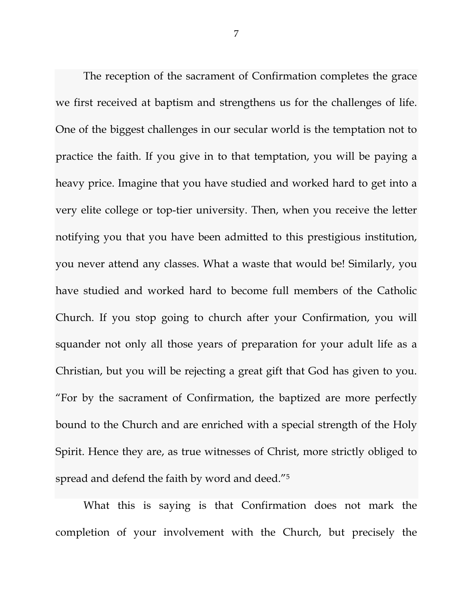The reception of the sacrament of Confirmation completes the grace we first received at baptism and strengthens us for the challenges of life. One of the biggest challenges in our secular world is the temptation not to practice the faith. If you give in to that temptation, you will be paying a heavy price. Imagine that you have studied and worked hard to get into a very elite college or top-tier university. Then, when you receive the letter notifying you that you have been admitted to this prestigious institution, you never attend any classes. What a waste that would be! Similarly, you have studied and worked hard to become full members of the Catholic Church. If you stop going to church after your Confirmation, you will squander not only all those years of preparation for your adult life as a Christian, but you will be rejecting a great gift that God has given to you. "For by the sacrament of Confirmation, the baptized are more perfectly bound to the Church and are enriched with a special strength of the Holy Spirit. Hence they are, as true witnesses of Christ, more strictly obliged to spread and defend the faith by word and deed."5

What this is saying is that Confirmation does not mark the completion of your involvement with the Church, but precisely the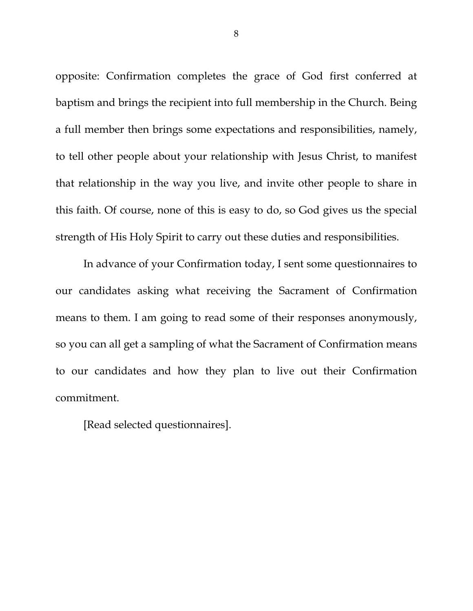opposite: Confirmation completes the grace of God first conferred at baptism and brings the recipient into full membership in the Church. Being a full member then brings some expectations and responsibilities, namely, to tell other people about your relationship with Jesus Christ, to manifest that relationship in the way you live, and invite other people to share in this faith. Of course, none of this is easy to do, so God gives us the special strength of His Holy Spirit to carry out these duties and responsibilities.

In advance of your Confirmation today, I sent some questionnaires to our candidates asking what receiving the Sacrament of Confirmation means to them. I am going to read some of their responses anonymously, so you can all get a sampling of what the Sacrament of Confirmation means to our candidates and how they plan to live out their Confirmation commitment.

[Read selected questionnaires].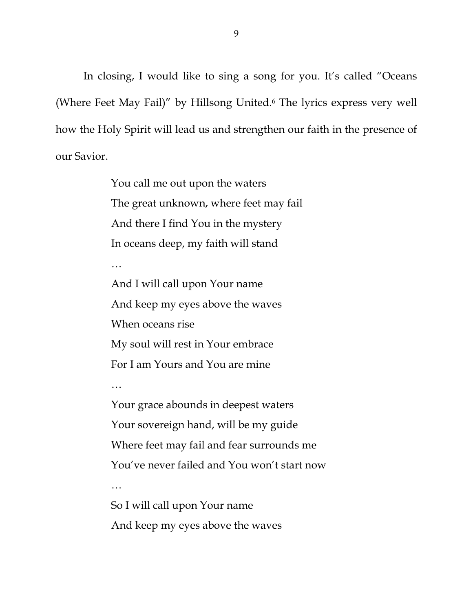In closing, I would like to sing a song for you. It's called "Oceans (Where Feet May Fail)" by Hillsong United.6 The lyrics express very well how the Holy Spirit will lead us and strengthen our faith in the presence of our Savior.

> You call me out upon the waters The great unknown, where feet may fail And there I find You in the mystery In oceans deep, my faith will stand …

And I will call upon Your name And keep my eyes above the waves When oceans rise My soul will rest in Your embrace For I am Yours and You are mine …

Your grace abounds in deepest waters Your sovereign hand, will be my guide Where feet may fail and fear surrounds me You've never failed and You won't start now

… So I will call upon Your name And keep my eyes above the waves